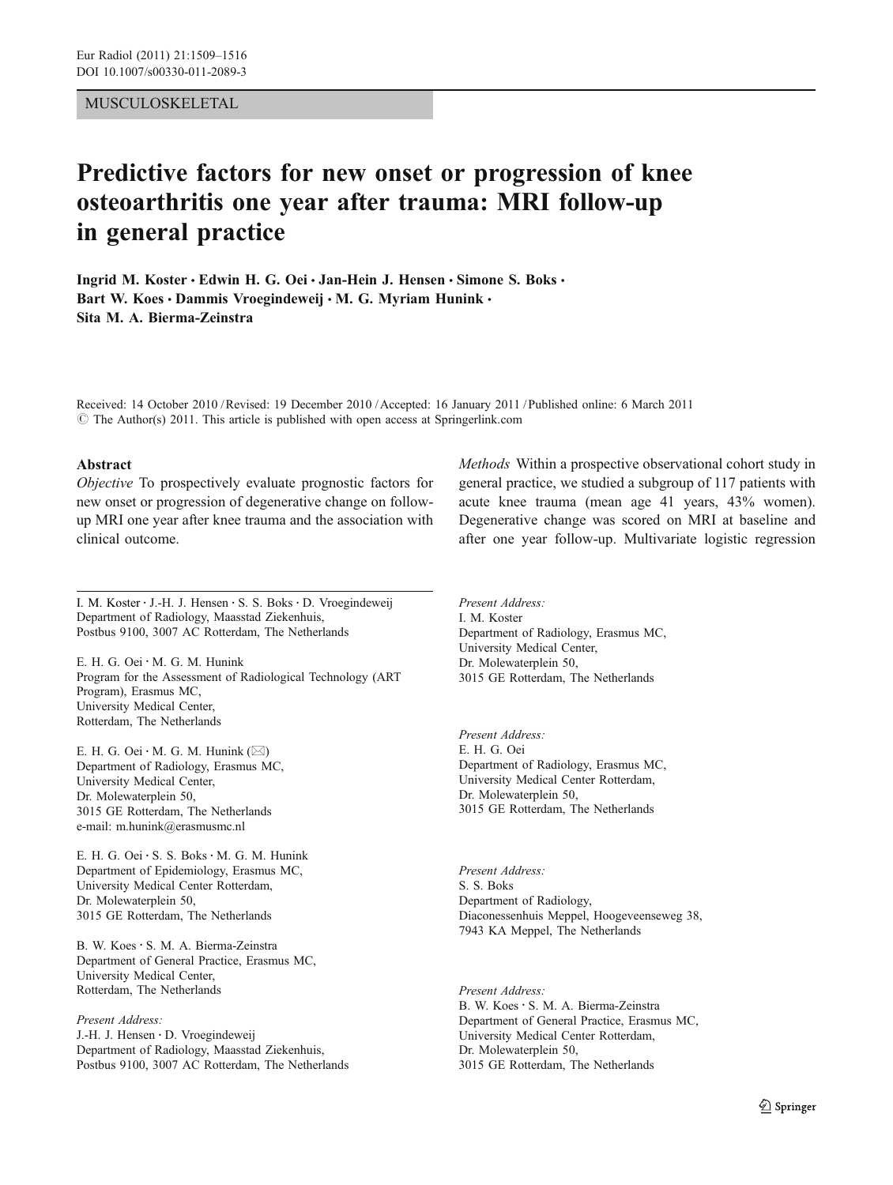#### MUSCULOSKELETAL

# Predictive factors for new onset or progression of knee osteoarthritis one year after trauma: MRI follow-up in general practice

Ingrid M. Koster · Edwin H. G. Oei · Jan-Hein J. Hensen · Simone S. Boks · Bart W. Koes · Dammis Vroegindeweij · M. G. Myriam Hunink · Sita M. A. Bierma-Zeinstra

Received: 14 October 2010 /Revised: 19 December 2010 /Accepted: 16 January 2011 / Published online: 6 March 2011  $\odot$  The Author(s) 2011. This article is published with open access at Springerlink.com

#### Abstract

Objective To prospectively evaluate prognostic factors for new onset or progression of degenerative change on followup MRI one year after knee trauma and the association with clinical outcome.

I. M. Koster : S. S. Boks I. M. Koster : J.-H. J. Hensen : S. S. Boks: D. Vroegindeweij Department of Radiology, Maasstad Ziekenhuis, Postbus 9100, 3007 AC Rotterdam, The Netherlands

E. H. G. Oei : M. G. M. Hunink Program for the Assessment of Radiological Technology (ART Program), Erasmus MC, University Medical Center, Rotterdam, The Netherlands

E. H. G. Oei · M. G. M. Hunink  $(\boxtimes)$ Department of Radiology, Erasmus MC, University Medical Center, Dr. Molewaterplein 50, 3015 GE Rotterdam, The Netherlands e-mail: m.hunink@erasmusmc.nl

E. H. G. Oei · S. S. Boks · M. G. M. Hunink Department of Epidemiology, Erasmus MC, University Medical Center Rotterdam, Dr. Molewaterplein 50, 3015 GE Rotterdam, The Netherlands

B. W. Koes · S. M. A. Bierma-Zeinstra Department of General Practice, Erasmus MC, University Medical Center, Rotterdam, The Netherlands

Present Address: J.-H. J. Hensen : D. Vroegindeweij Department of Radiology, Maasstad Ziekenhuis, Postbus 9100, 3007 AC Rotterdam, The Netherlands Methods Within a prospective observational cohort study in general practice, we studied a subgroup of 117 patients with acute knee trauma (mean age 41 years, 43% women). Degenerative change was scored on MRI at baseline and after one year follow-up. Multivariate logistic regression

Present Address: I. M. Koster Department of Radiology, Erasmus MC, University Medical Center, Dr. Molewaterplein 50, 3015 GE Rotterdam, The Netherlands

Present Address: E. H. G. Oei Department of Radiology, Erasmus MC, University Medical Center Rotterdam, Dr. Molewaterplein 50, 3015 GE Rotterdam, The Netherlands

Present Address: S. S. Boks Department of Radiology, Diaconessenhuis Meppel, Hoogeveenseweg 38, 7943 KA Meppel, The Netherlands

Present Address: B. W. Koes · S. M. A. Bierma-Zeinstra Department of General Practice, Erasmus MC, University Medical Center Rotterdam, Dr. Molewaterplein 50, 3015 GE Rotterdam, The Netherlands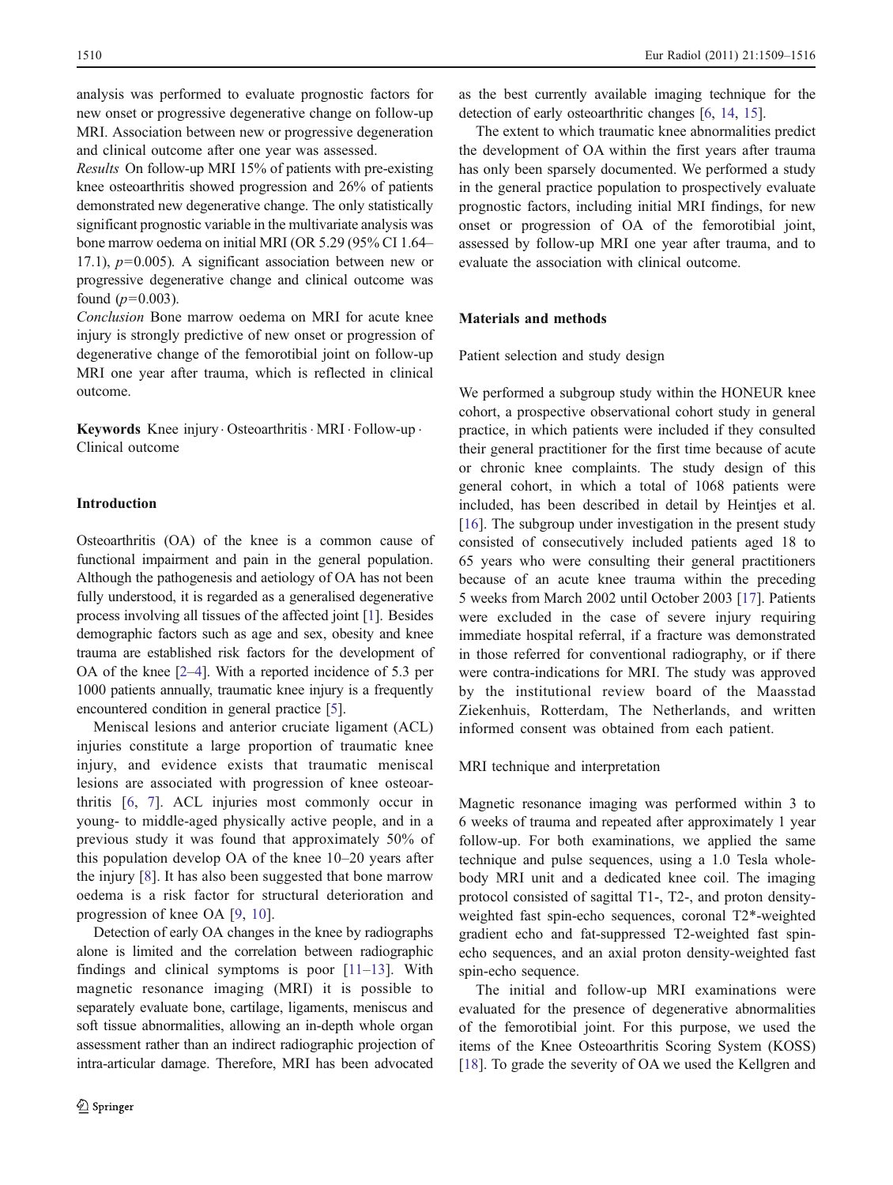analysis was performed to evaluate prognostic factors for new onset or progressive degenerative change on follow-up MRI. Association between new or progressive degeneration and clinical outcome after one year was assessed.

Results On follow-up MRI 15% of patients with pre-existing knee osteoarthritis showed progression and 26% of patients demonstrated new degenerative change. The only statistically significant prognostic variable in the multivariate analysis was bone marrow oedema on initial MRI (OR 5.29 (95% CI 1.64– 17.1),  $p=0.005$ ). A significant association between new or progressive degenerative change and clinical outcome was found  $(p=0.003)$ .

Conclusion Bone marrow oedema on MRI for acute knee injury is strongly predictive of new onset or progression of degenerative change of the femorotibial joint on follow-up MRI one year after trauma, which is reflected in clinical outcome.

Keywords Knee injury . Osteoarthritis. MRI . Follow-up . Clinical outcome

#### Introduction

Osteoarthritis (OA) of the knee is a common cause of functional impairment and pain in the general population. Although the pathogenesis and aetiology of OA has not been fully understood, it is regarded as a generalised degenerative process involving all tissues of the affected joint [\[1](#page-6-0)]. Besides demographic factors such as age and sex, obesity and knee trauma are established risk factors for the development of OA of the knee [\[2](#page-6-0)–[4\]](#page-6-0). With a reported incidence of 5.3 per 1000 patients annually, traumatic knee injury is a frequently encountered condition in general practice [\[5](#page-6-0)].

Meniscal lesions and anterior cruciate ligament (ACL) injuries constitute a large proportion of traumatic knee injury, and evidence exists that traumatic meniscal lesions are associated with progression of knee osteoarthritis [[6,](#page-6-0) [7](#page-6-0)]. ACL injuries most commonly occur in young- to middle-aged physically active people, and in a previous study it was found that approximately 50% of this population develop OA of the knee 10–20 years after the injury [\[8](#page-6-0)]. It has also been suggested that bone marrow oedema is a risk factor for structural deterioration and progression of knee OA [[9,](#page-6-0) [10\]](#page-6-0).

Detection of early OA changes in the knee by radiographs alone is limited and the correlation between radiographic findings and clinical symptoms is poor [\[11](#page-6-0)–[13](#page-6-0)]. With magnetic resonance imaging (MRI) it is possible to separately evaluate bone, cartilage, ligaments, meniscus and soft tissue abnormalities, allowing an in-depth whole organ assessment rather than an indirect radiographic projection of intra-articular damage. Therefore, MRI has been advocated

as the best currently available imaging technique for the detection of early osteoarthritic changes [[6,](#page-6-0) [14](#page-6-0), [15\]](#page-6-0).

The extent to which traumatic knee abnormalities predict the development of OA within the first years after trauma has only been sparsely documented. We performed a study in the general practice population to prospectively evaluate prognostic factors, including initial MRI findings, for new onset or progression of OA of the femorotibial joint, assessed by follow-up MRI one year after trauma, and to evaluate the association with clinical outcome.

## Materials and methods

Patient selection and study design

We performed a subgroup study within the HONEUR knee cohort, a prospective observational cohort study in general practice, in which patients were included if they consulted their general practitioner for the first time because of acute or chronic knee complaints. The study design of this general cohort, in which a total of 1068 patients were included, has been described in detail by Heintjes et al. [\[16](#page-6-0)]. The subgroup under investigation in the present study consisted of consecutively included patients aged 18 to 65 years who were consulting their general practitioners because of an acute knee trauma within the preceding 5 weeks from March 2002 until October 2003 [[17\]](#page-6-0). Patients were excluded in the case of severe injury requiring immediate hospital referral, if a fracture was demonstrated in those referred for conventional radiography, or if there were contra-indications for MRI. The study was approved by the institutional review board of the Maasstad Ziekenhuis, Rotterdam, The Netherlands, and written informed consent was obtained from each patient.

MRI technique and interpretation

Magnetic resonance imaging was performed within 3 to 6 weeks of trauma and repeated after approximately 1 year follow-up. For both examinations, we applied the same technique and pulse sequences, using a 1.0 Tesla wholebody MRI unit and a dedicated knee coil. The imaging protocol consisted of sagittal T1-, T2-, and proton densityweighted fast spin-echo sequences, coronal T2\*-weighted gradient echo and fat-suppressed T2-weighted fast spinecho sequences, and an axial proton density-weighted fast spin-echo sequence.

The initial and follow-up MRI examinations were evaluated for the presence of degenerative abnormalities of the femorotibial joint. For this purpose, we used the items of the Knee Osteoarthritis Scoring System (KOSS) [\[18](#page-6-0)]. To grade the severity of OA we used the Kellgren and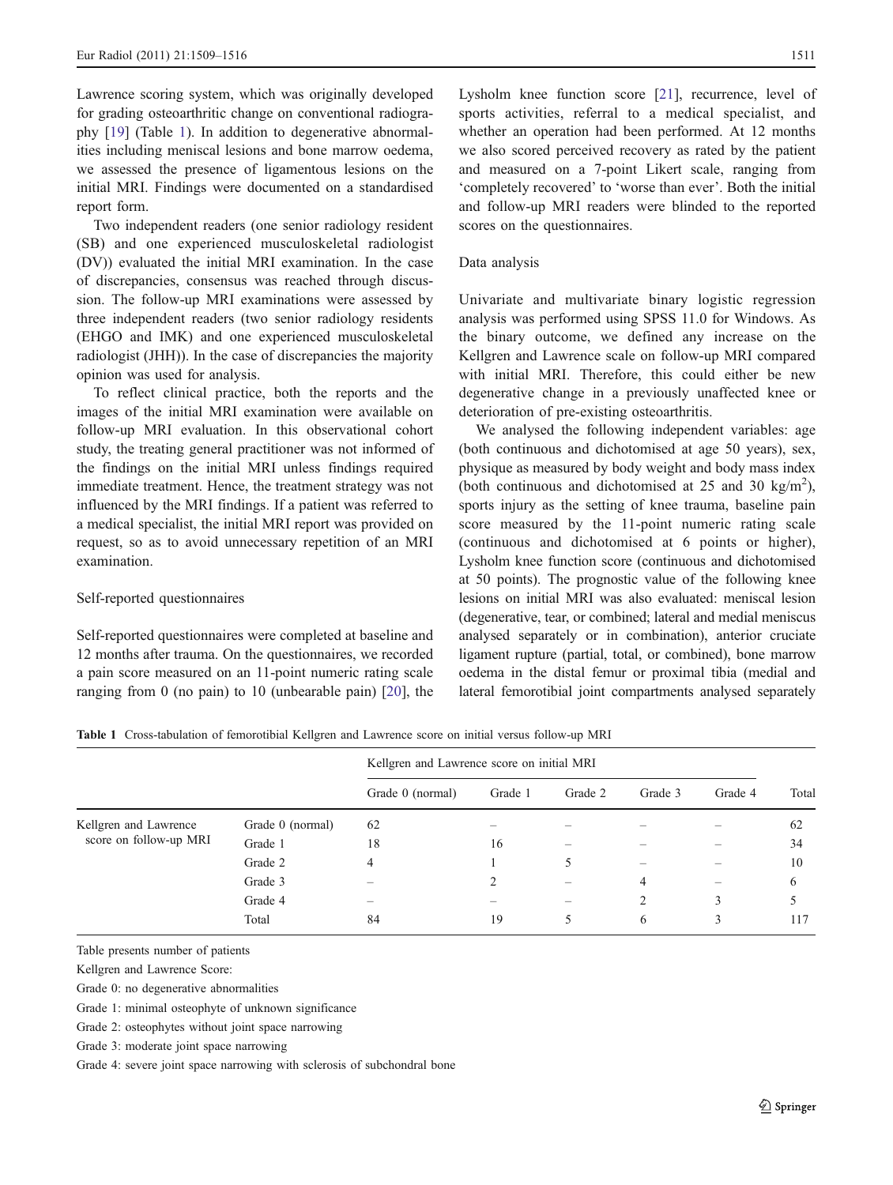<span id="page-2-0"></span>Lawrence scoring system, which was originally developed for grading osteoarthritic change on conventional radiography [\[19](#page-6-0)] (Table 1). In addition to degenerative abnormalities including meniscal lesions and bone marrow oedema, we assessed the presence of ligamentous lesions on the initial MRI. Findings were documented on a standardised report form.

Two independent readers (one senior radiology resident (SB) and one experienced musculoskeletal radiologist (DV)) evaluated the initial MRI examination. In the case of discrepancies, consensus was reached through discussion. The follow-up MRI examinations were assessed by three independent readers (two senior radiology residents (EHGO and IMK) and one experienced musculoskeletal radiologist (JHH)). In the case of discrepancies the majority opinion was used for analysis.

To reflect clinical practice, both the reports and the images of the initial MRI examination were available on follow-up MRI evaluation. In this observational cohort study, the treating general practitioner was not informed of the findings on the initial MRI unless findings required immediate treatment. Hence, the treatment strategy was not influenced by the MRI findings. If a patient was referred to a medical specialist, the initial MRI report was provided on request, so as to avoid unnecessary repetition of an MRI examination.

## Self-reported questionnaires

Self-reported questionnaires were completed at baseline and 12 months after trauma. On the questionnaires, we recorded a pain score measured on an 11-point numeric rating scale ranging from 0 (no pain) to 10 (unbearable pain) [[20\]](#page-6-0), the

Lysholm knee function score [[21\]](#page-7-0), recurrence, level of sports activities, referral to a medical specialist, and whether an operation had been performed. At 12 months we also scored perceived recovery as rated by the patient and measured on a 7-point Likert scale, ranging from 'completely recovered' to 'worse than ever'. Both the initial and follow-up MRI readers were blinded to the reported scores on the questionnaires.

#### Data analysis

Univariate and multivariate binary logistic regression analysis was performed using SPSS 11.0 for Windows. As the binary outcome, we defined any increase on the Kellgren and Lawrence scale on follow-up MRI compared with initial MRI. Therefore, this could either be new degenerative change in a previously unaffected knee or deterioration of pre-existing osteoarthritis.

We analysed the following independent variables: age (both continuous and dichotomised at age 50 years), sex, physique as measured by body weight and body mass index (both continuous and dichotomised at 25 and 30 kg/m<sup>2</sup>), sports injury as the setting of knee trauma, baseline pain score measured by the 11-point numeric rating scale (continuous and dichotomised at 6 points or higher), Lysholm knee function score (continuous and dichotomised at 50 points). The prognostic value of the following knee lesions on initial MRI was also evaluated: meniscal lesion (degenerative, tear, or combined; lateral and medial meniscus analysed separately or in combination), anterior cruciate ligament rupture (partial, total, or combined), bone marrow oedema in the distal femur or proximal tibia (medial and lateral femorotibial joint compartments analysed separately

Table 1 Cross-tabulation of femorotibial Kellgren and Lawrence score on initial versus follow-up MRI

|                        |                  | Kellgren and Lawrence score on initial MRI |         |         |         |         |       |
|------------------------|------------------|--------------------------------------------|---------|---------|---------|---------|-------|
|                        |                  | Grade 0 (normal)                           | Grade 1 | Grade 2 | Grade 3 | Grade 4 | Total |
| Kellgren and Lawrence  | Grade 0 (normal) | 62                                         |         |         |         |         | 62    |
| score on follow-up MRI | Grade 1          | 18                                         | 16      |         |         |         | 34    |
|                        | Grade 2          | 4                                          |         | 5       |         |         | 10    |
|                        | Grade 3          |                                            |         |         | 4       |         | 6     |
|                        | Grade 4          |                                            |         |         | 2       | 3       |       |
|                        | Total            | 84                                         | 19      | 5       | 6       |         | 117   |

Table presents number of patients

Kellgren and Lawrence Score:

Grade 0: no degenerative abnormalities

Grade 1: minimal osteophyte of unknown significance

Grade 2: osteophytes without joint space narrowing

Grade 3: moderate joint space narrowing

Grade 4: severe joint space narrowing with sclerosis of subchondral bone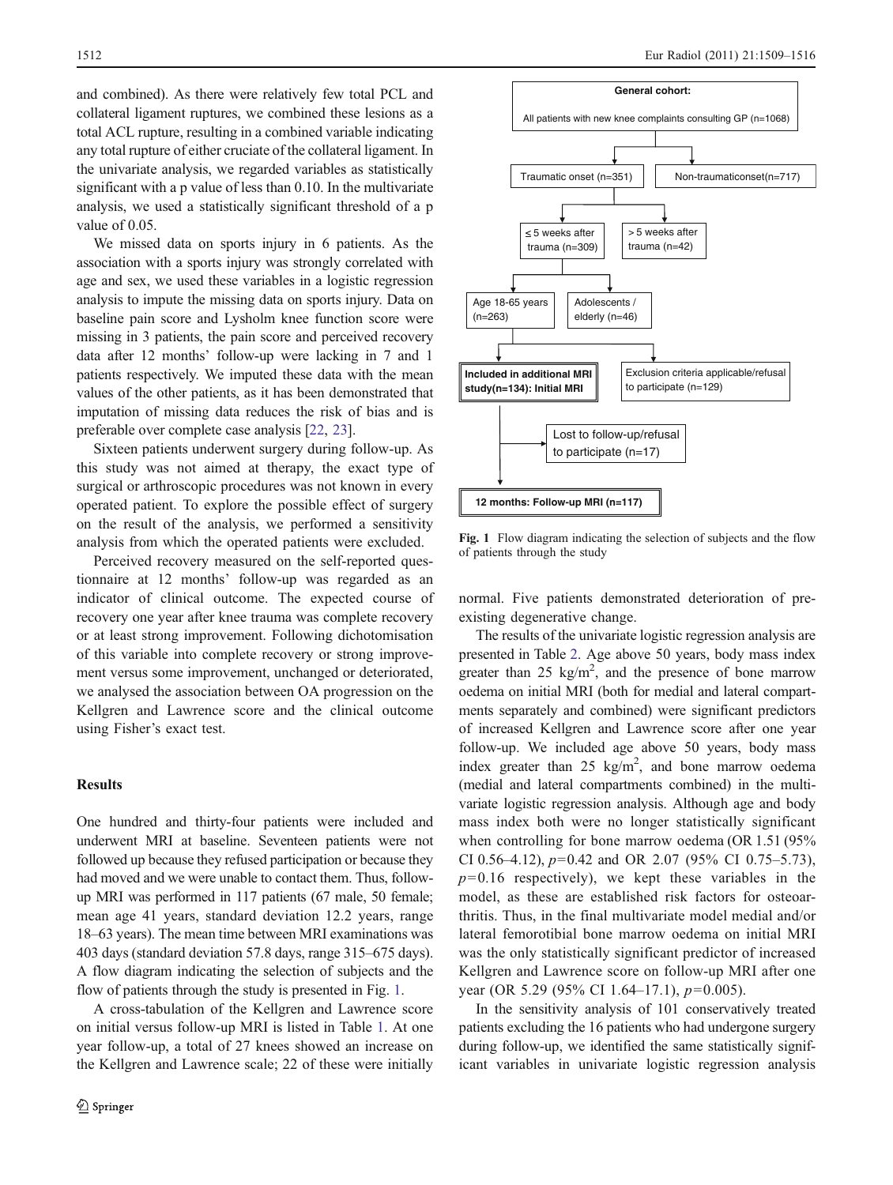and combined). As there were relatively few total PCL and collateral ligament ruptures, we combined these lesions as a total ACL rupture, resulting in a combined variable indicating any total rupture of either cruciate of the collateral ligament. In the univariate analysis, we regarded variables as statistically significant with a p value of less than 0.10. In the multivariate analysis, we used a statistically significant threshold of a p value of 0.05.

We missed data on sports injury in 6 patients. As the association with a sports injury was strongly correlated with age and sex, we used these variables in a logistic regression analysis to impute the missing data on sports injury. Data on baseline pain score and Lysholm knee function score were missing in 3 patients, the pain score and perceived recovery data after 12 months' follow-up were lacking in 7 and 1 patients respectively. We imputed these data with the mean values of the other patients, as it has been demonstrated that imputation of missing data reduces the risk of bias and is preferable over complete case analysis [[22](#page-7-0), [23\]](#page-7-0).

Sixteen patients underwent surgery during follow-up. As this study was not aimed at therapy, the exact type of surgical or arthroscopic procedures was not known in every operated patient. To explore the possible effect of surgery on the result of the analysis, we performed a sensitivity analysis from which the operated patients were excluded.

Perceived recovery measured on the self-reported questionnaire at 12 months' follow-up was regarded as an indicator of clinical outcome. The expected course of recovery one year after knee trauma was complete recovery or at least strong improvement. Following dichotomisation of this variable into complete recovery or strong improvement versus some improvement, unchanged or deteriorated, we analysed the association between OA progression on the Kellgren and Lawrence score and the clinical outcome using Fisher's exact test.

## **Results**

One hundred and thirty-four patients were included and underwent MRI at baseline. Seventeen patients were not followed up because they refused participation or because they had moved and we were unable to contact them. Thus, followup MRI was performed in 117 patients (67 male, 50 female; mean age 41 years, standard deviation 12.2 years, range 18–63 years). The mean time between MRI examinations was 403 days (standard deviation 57.8 days, range 315–675 days). A flow diagram indicating the selection of subjects and the flow of patients through the study is presented in Fig. 1.

A cross-tabulation of the Kellgren and Lawrence score on initial versus follow-up MRI is listed in Table [1](#page-2-0). At one year follow-up, a total of 27 knees showed an increase on the Kellgren and Lawrence scale; 22 of these were initially



Fig. 1 Flow diagram indicating the selection of subjects and the flow of patients through the study

normal. Five patients demonstrated deterioration of preexisting degenerative change.

The results of the univariate logistic regression analysis are presented in Table [2](#page-4-0). Age above 50 years, body mass index greater than  $25 \text{ kg/m}^2$ , and the presence of bone marrow oedema on initial MRI (both for medial and lateral compartments separately and combined) were significant predictors of increased Kellgren and Lawrence score after one year follow-up. We included age above 50 years, body mass index greater than  $25 \text{ kg/m}^2$ , and bone marrow oedema (medial and lateral compartments combined) in the multivariate logistic regression analysis. Although age and body mass index both were no longer statistically significant when controlling for bone marrow oedema (OR 1.51 (95%) CI 0.56–4.12),  $p=0.42$  and OR 2.07 (95% CI 0.75–5.73),  $p=0.16$  respectively), we kept these variables in the model, as these are established risk factors for osteoarthritis. Thus, in the final multivariate model medial and/or lateral femorotibial bone marrow oedema on initial MRI was the only statistically significant predictor of increased Kellgren and Lawrence score on follow-up MRI after one year (OR 5.29 (95% CI 1.64–17.1),  $p=0.005$ ).

In the sensitivity analysis of 101 conservatively treated patients excluding the 16 patients who had undergone surgery during follow-up, we identified the same statistically significant variables in univariate logistic regression analysis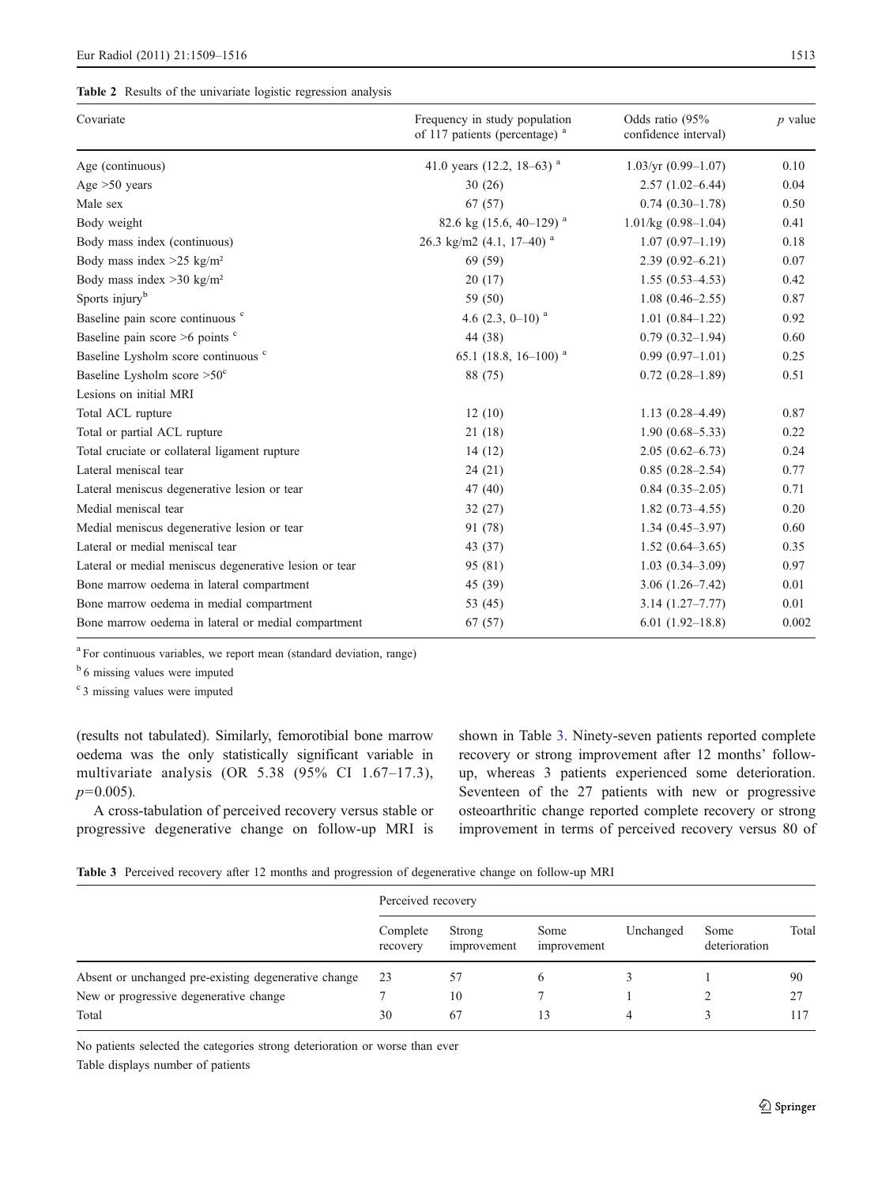<span id="page-4-0"></span>

|  |  | Table 2 Results of the univariate logistic regression analysis |  |
|--|--|----------------------------------------------------------------|--|
|  |  |                                                                |  |

| Covariate                                              | Frequency in study population<br>of 117 patients (percentage) <sup>a</sup> | Odds ratio (95%<br>confidence interval) | $p$ value |
|--------------------------------------------------------|----------------------------------------------------------------------------|-----------------------------------------|-----------|
| Age (continuous)                                       | 41.0 years $(12.2, 18-63)^{a}$                                             | $1.03/\text{yr}$ (0.99-1.07)            | 0.10      |
| Age $>50$ years                                        | 30(26)                                                                     | $2.57(1.02 - 6.44)$                     | 0.04      |
| Male sex                                               | 67(57)                                                                     | $0.74(0.30-1.78)$                       | 0.50      |
| Body weight                                            | 82.6 kg $(15.6, 40-129)^{a}$                                               | $1.01/kg(0.98-1.04)$                    | 0.41      |
| Body mass index (continuous)                           | 26.3 kg/m2 (4.1, 17-40) <sup>a</sup>                                       | $1.07(0.97-1.19)$                       | 0.18      |
| Body mass index $>25$ kg/m <sup>2</sup>                | 69 (59)                                                                    | $2.39(0.92 - 6.21)$                     | 0.07      |
| Body mass index $>30$ kg/m <sup>2</sup>                | 20(17)                                                                     | $1.55(0.53-4.53)$                       | 0.42      |
| Sports injury <sup>b</sup>                             | 59 (50)                                                                    | $1.08(0.46 - 2.55)$                     | 0.87      |
| Baseline pain score continuous c                       | 4.6 $(2.3, 0-10)^{a}$                                                      | $1.01(0.84-1.22)$                       | 0.92      |
| Baseline pain score >6 points <sup>c</sup>             | 44 (38)                                                                    | $0.79(0.32 - 1.94)$                     | 0.60      |
| Baseline Lysholm score continuous c                    | 65.1 (18.8, 16–100) <sup>a</sup>                                           | $0.99(0.97-1.01)$                       | 0.25      |
| Baseline Lysholm score $>50^{\circ}$                   | 88 (75)                                                                    | $0.72(0.28-1.89)$                       | 0.51      |
| Lesions on initial MRI                                 |                                                                            |                                         |           |
| Total ACL rupture                                      | 12(10)                                                                     | $1.13(0.28 - 4.49)$                     | 0.87      |
| Total or partial ACL rupture                           | 21(18)                                                                     | $1.90(0.68 - 5.33)$                     | 0.22      |
| Total cruciate or collateral ligament rupture          | 14(12)                                                                     | $2.05(0.62 - 6.73)$                     | 0.24      |
| Lateral meniscal tear                                  | 24(21)                                                                     | $0.85(0.28 - 2.54)$                     | 0.77      |
| Lateral meniscus degenerative lesion or tear           | 47 (40)                                                                    | $0.84(0.35-2.05)$                       | 0.71      |
| Medial meniscal tear                                   | 32(27)                                                                     | $1.82(0.73 - 4.55)$                     | 0.20      |
| Medial meniscus degenerative lesion or tear            | 91 (78)                                                                    | $1.34(0.45-3.97)$                       | 0.60      |
| Lateral or medial meniscal tear                        | 43 (37)                                                                    | $1.52(0.64-3.65)$                       | 0.35      |
| Lateral or medial meniscus degenerative lesion or tear | 95 (81)                                                                    | $1.03(0.34 - 3.09)$                     | 0.97      |
| Bone marrow oedema in lateral compartment              | 45 (39)                                                                    | $3.06(1.26 - 7.42)$                     | 0.01      |
| Bone marrow oedema in medial compartment               | 53 (45)                                                                    | $3.14(1.27 - 7.77)$                     | 0.01      |
| Bone marrow oedema in lateral or medial compartment    | 67(57)                                                                     | $6.01(1.92 - 18.8)$                     | 0.002     |

<sup>a</sup> For continuous variables, we report mean (standard deviation, range)

<sup>b</sup> 6 missing values were imputed

<sup>c</sup> 3 missing values were imputed

(results not tabulated). Similarly, femorotibial bone marrow oedema was the only statistically significant variable in multivariate analysis (OR 5.38 (95% CI 1.67–17.3),  $p=0.005$ ).

A cross-tabulation of perceived recovery versus stable or progressive degenerative change on follow-up MRI is shown in Table 3. Ninety-seven patients reported complete recovery or strong improvement after 12 months' followup, whereas 3 patients experienced some deterioration. Seventeen of the 27 patients with new or progressive osteoarthritic change reported complete recovery or strong improvement in terms of perceived recovery versus 80 of

|  |  |  |  |  |  |  |  | Table 3 Perceived recovery after 12 months and progression of degenerative change on follow-up MRI |  |  |  |
|--|--|--|--|--|--|--|--|----------------------------------------------------------------------------------------------------|--|--|--|
|--|--|--|--|--|--|--|--|----------------------------------------------------------------------------------------------------|--|--|--|

|                                                      | Perceived recovery   |                       |                     |           |                       |       |  |
|------------------------------------------------------|----------------------|-----------------------|---------------------|-----------|-----------------------|-------|--|
|                                                      | Complete<br>recovery | Strong<br>improvement | Some<br>improvement | Unchanged | Some<br>deterioration | Total |  |
| Absent or unchanged pre-existing degenerative change | 23                   | 57                    |                     |           |                       | 90    |  |
| New or progressive degenerative change               |                      | 10                    |                     |           |                       | 27    |  |
| Total                                                | 30                   | 67                    |                     | 4         |                       |       |  |

No patients selected the categories strong deterioration or worse than ever

Table displays number of patients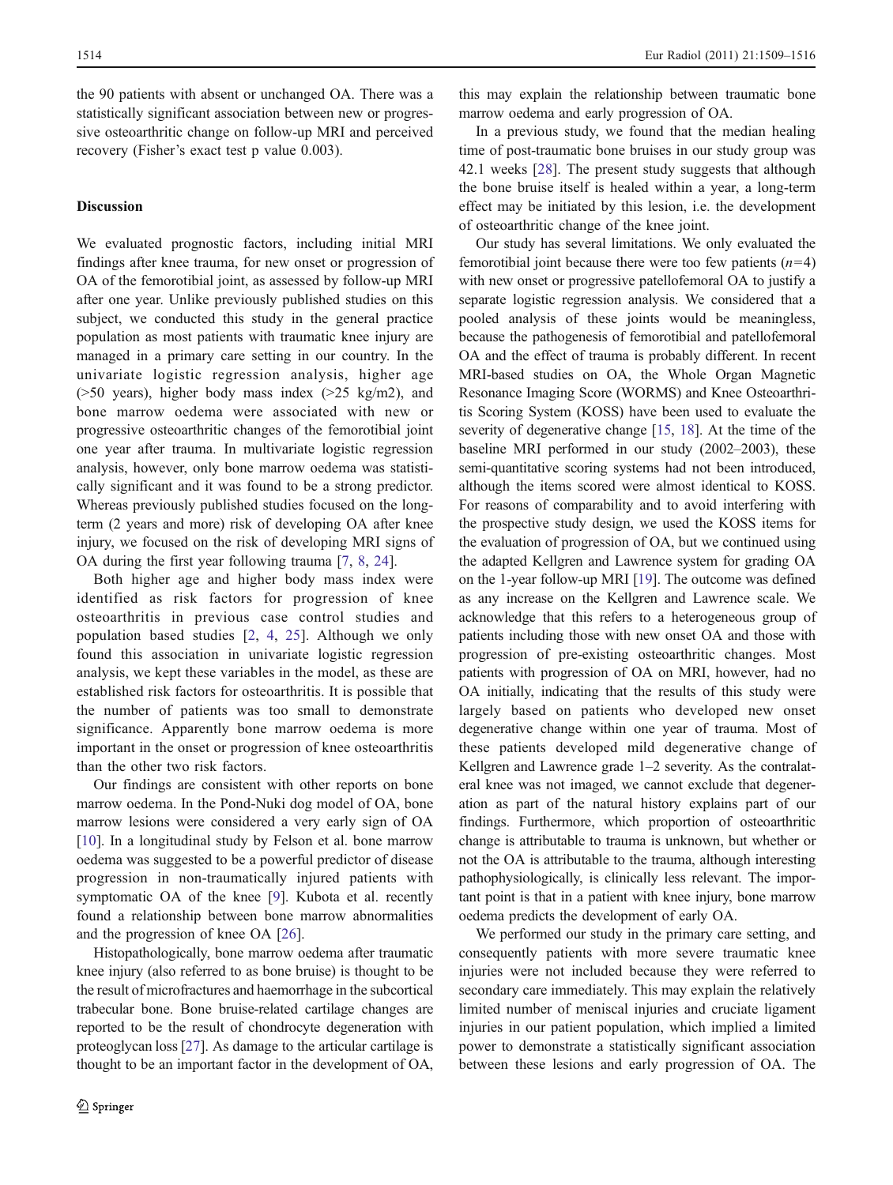the 90 patients with absent or unchanged OA. There was a statistically significant association between new or progressive osteoarthritic change on follow-up MRI and perceived recovery (Fisher's exact test p value 0.003).

# Discussion

We evaluated prognostic factors, including initial MRI findings after knee trauma, for new onset or progression of OA of the femorotibial joint, as assessed by follow-up MRI after one year. Unlike previously published studies on this subject, we conducted this study in the general practice population as most patients with traumatic knee injury are managed in a primary care setting in our country. In the univariate logistic regression analysis, higher age ( $>50$  years), higher body mass index ( $>25$  kg/m2), and bone marrow oedema were associated with new or progressive osteoarthritic changes of the femorotibial joint one year after trauma. In multivariate logistic regression analysis, however, only bone marrow oedema was statistically significant and it was found to be a strong predictor. Whereas previously published studies focused on the longterm (2 years and more) risk of developing OA after knee injury, we focused on the risk of developing MRI signs of OA during the first year following trauma [[7](#page-6-0), [8,](#page-6-0) [24\]](#page-7-0).

Both higher age and higher body mass index were identified as risk factors for progression of knee osteoarthritis in previous case control studies and population based studies [\[2,](#page-6-0) [4](#page-6-0), [25\]](#page-7-0). Although we only found this association in univariate logistic regression analysis, we kept these variables in the model, as these are established risk factors for osteoarthritis. It is possible that the number of patients was too small to demonstrate significance. Apparently bone marrow oedema is more important in the onset or progression of knee osteoarthritis than the other two risk factors.

Our findings are consistent with other reports on bone marrow oedema. In the Pond-Nuki dog model of OA, bone marrow lesions were considered a very early sign of OA [\[10](#page-6-0)]. In a longitudinal study by Felson et al. bone marrow oedema was suggested to be a powerful predictor of disease progression in non-traumatically injured patients with symptomatic OA of the knee [\[9](#page-6-0)]. Kubota et al. recently found a relationship between bone marrow abnormalities and the progression of knee OA [[26\]](#page-7-0).

Histopathologically, bone marrow oedema after traumatic knee injury (also referred to as bone bruise) is thought to be the result of microfractures and haemorrhage in the subcortical trabecular bone. Bone bruise-related cartilage changes are reported to be the result of chondrocyte degeneration with proteoglycan loss [[27\]](#page-7-0). As damage to the articular cartilage is thought to be an important factor in the development of OA,

this may explain the relationship between traumatic bone marrow oedema and early progression of OA.

In a previous study, we found that the median healing time of post-traumatic bone bruises in our study group was 42.1 weeks [[28\]](#page-7-0). The present study suggests that although the bone bruise itself is healed within a year, a long-term effect may be initiated by this lesion, i.e. the development of osteoarthritic change of the knee joint.

Our study has several limitations. We only evaluated the femorotibial joint because there were too few patients  $(n=4)$ with new onset or progressive patellofemoral OA to justify a separate logistic regression analysis. We considered that a pooled analysis of these joints would be meaningless, because the pathogenesis of femorotibial and patellofemoral OA and the effect of trauma is probably different. In recent MRI-based studies on OA, the Whole Organ Magnetic Resonance Imaging Score (WORMS) and Knee Osteoarthritis Scoring System (KOSS) have been used to evaluate the severity of degenerative change [\[15,](#page-6-0) [18](#page-6-0)]. At the time of the baseline MRI performed in our study (2002–2003), these semi-quantitative scoring systems had not been introduced, although the items scored were almost identical to KOSS. For reasons of comparability and to avoid interfering with the prospective study design, we used the KOSS items for the evaluation of progression of OA, but we continued using the adapted Kellgren and Lawrence system for grading OA on the 1-year follow-up MRI [\[19](#page-6-0)]. The outcome was defined as any increase on the Kellgren and Lawrence scale. We acknowledge that this refers to a heterogeneous group of patients including those with new onset OA and those with progression of pre-existing osteoarthritic changes. Most patients with progression of OA on MRI, however, had no OA initially, indicating that the results of this study were largely based on patients who developed new onset degenerative change within one year of trauma. Most of these patients developed mild degenerative change of Kellgren and Lawrence grade 1–2 severity. As the contralateral knee was not imaged, we cannot exclude that degeneration as part of the natural history explains part of our findings. Furthermore, which proportion of osteoarthritic change is attributable to trauma is unknown, but whether or not the OA is attributable to the trauma, although interesting pathophysiologically, is clinically less relevant. The important point is that in a patient with knee injury, bone marrow oedema predicts the development of early OA.

We performed our study in the primary care setting, and consequently patients with more severe traumatic knee injuries were not included because they were referred to secondary care immediately. This may explain the relatively limited number of meniscal injuries and cruciate ligament injuries in our patient population, which implied a limited power to demonstrate a statistically significant association between these lesions and early progression of OA. The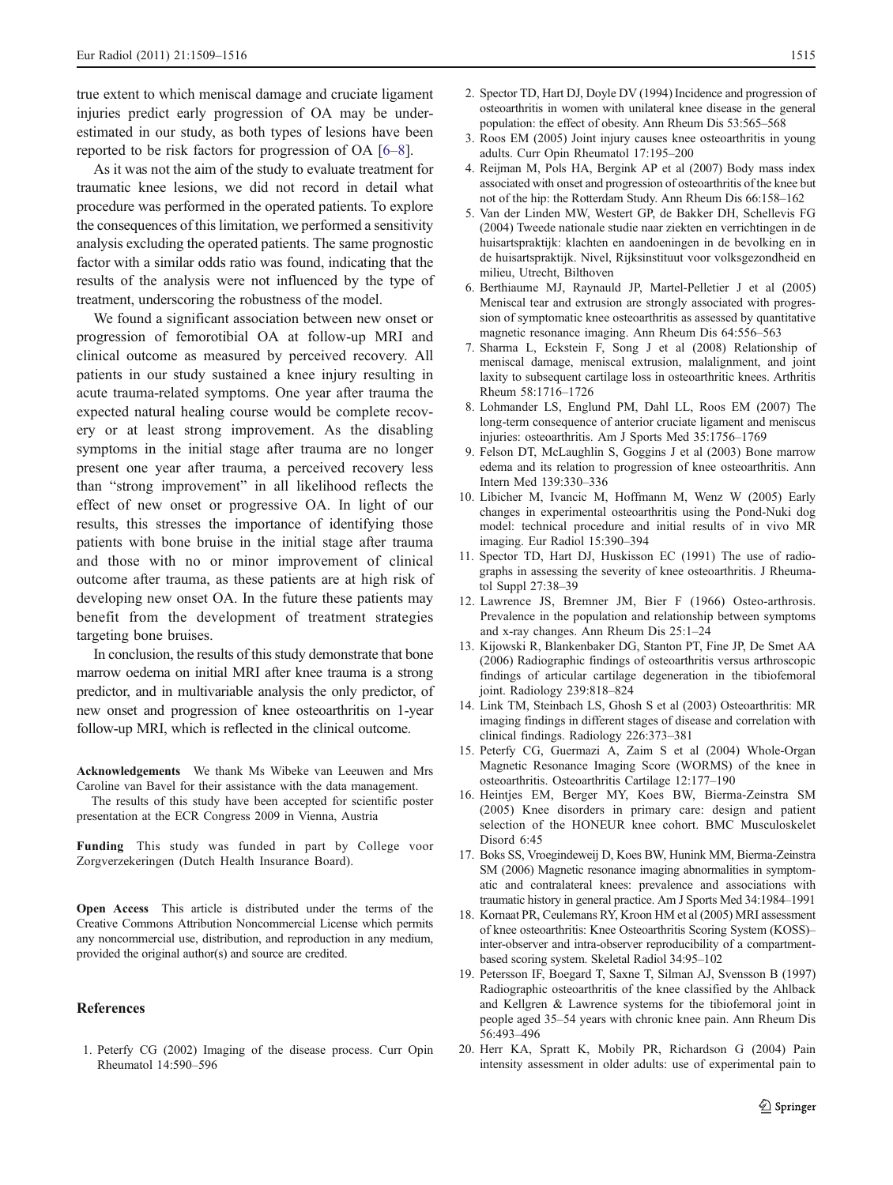<span id="page-6-0"></span>true extent to which meniscal damage and cruciate ligament injuries predict early progression of OA may be underestimated in our study, as both types of lesions have been reported to be risk factors for progression of OA [6–8].

As it was not the aim of the study to evaluate treatment for traumatic knee lesions, we did not record in detail what procedure was performed in the operated patients. To explore the consequences of this limitation, we performed a sensitivity analysis excluding the operated patients. The same prognostic factor with a similar odds ratio was found, indicating that the results of the analysis were not influenced by the type of treatment, underscoring the robustness of the model.

We found a significant association between new onset or progression of femorotibial OA at follow-up MRI and clinical outcome as measured by perceived recovery. All patients in our study sustained a knee injury resulting in acute trauma-related symptoms. One year after trauma the expected natural healing course would be complete recovery or at least strong improvement. As the disabling symptoms in the initial stage after trauma are no longer present one year after trauma, a perceived recovery less than "strong improvement" in all likelihood reflects the effect of new onset or progressive OA. In light of our results, this stresses the importance of identifying those patients with bone bruise in the initial stage after trauma and those with no or minor improvement of clinical outcome after trauma, as these patients are at high risk of developing new onset OA. In the future these patients may benefit from the development of treatment strategies targeting bone bruises.

In conclusion, the results of this study demonstrate that bone marrow oedema on initial MRI after knee trauma is a strong predictor, and in multivariable analysis the only predictor, of new onset and progression of knee osteoarthritis on 1-year follow-up MRI, which is reflected in the clinical outcome.

Acknowledgements We thank Ms Wibeke van Leeuwen and Mrs Caroline van Bavel for their assistance with the data management.

The results of this study have been accepted for scientific poster presentation at the ECR Congress 2009 in Vienna, Austria

Funding This study was funded in part by College voor Zorgverzekeringen (Dutch Health Insurance Board).

Open Access This article is distributed under the terms of the Creative Commons Attribution Noncommercial License which permits any noncommercial use, distribution, and reproduction in any medium, provided the original author(s) and source are credited.

## References

1. Peterfy CG (2002) Imaging of the disease process. Curr Opin Rheumatol 14:590–596

- 2. Spector TD, Hart DJ, Doyle DV (1994) Incidence and progression of osteoarthritis in women with unilateral knee disease in the general population: the effect of obesity. Ann Rheum Dis 53:565–568
- 3. Roos EM (2005) Joint injury causes knee osteoarthritis in young adults. Curr Opin Rheumatol 17:195–200
- 4. Reijman M, Pols HA, Bergink AP et al (2007) Body mass index associated with onset and progression of osteoarthritis of the knee but not of the hip: the Rotterdam Study. Ann Rheum Dis 66:158–162
- 5. Van der Linden MW, Westert GP, de Bakker DH, Schellevis FG (2004) Tweede nationale studie naar ziekten en verrichtingen in de huisartspraktijk: klachten en aandoeningen in de bevolking en in de huisartspraktijk. Nivel, Rijksinstituut voor volksgezondheid en milieu, Utrecht, Bilthoven
- 6. Berthiaume MJ, Raynauld JP, Martel-Pelletier J et al (2005) Meniscal tear and extrusion are strongly associated with progression of symptomatic knee osteoarthritis as assessed by quantitative magnetic resonance imaging. Ann Rheum Dis 64:556–563
- 7. Sharma L, Eckstein F, Song J et al (2008) Relationship of meniscal damage, meniscal extrusion, malalignment, and joint laxity to subsequent cartilage loss in osteoarthritic knees. Arthritis Rheum 58:1716–1726
- 8. Lohmander LS, Englund PM, Dahl LL, Roos EM (2007) The long-term consequence of anterior cruciate ligament and meniscus injuries: osteoarthritis. Am J Sports Med 35:1756–1769
- 9. Felson DT, McLaughlin S, Goggins J et al (2003) Bone marrow edema and its relation to progression of knee osteoarthritis. Ann Intern Med 139:330–336
- 10. Libicher M, Ivancic M, Hoffmann M, Wenz W (2005) Early changes in experimental osteoarthritis using the Pond-Nuki dog model: technical procedure and initial results of in vivo MR imaging. Eur Radiol 15:390–394
- 11. Spector TD, Hart DJ, Huskisson EC (1991) The use of radiographs in assessing the severity of knee osteoarthritis. J Rheumatol Suppl 27:38–39
- 12. Lawrence JS, Bremner JM, Bier F (1966) Osteo-arthrosis. Prevalence in the population and relationship between symptoms and x-ray changes. Ann Rheum Dis 25:1–24
- 13. Kijowski R, Blankenbaker DG, Stanton PT, Fine JP, De Smet AA (2006) Radiographic findings of osteoarthritis versus arthroscopic findings of articular cartilage degeneration in the tibiofemoral joint. Radiology 239:818–824
- 14. Link TM, Steinbach LS, Ghosh S et al (2003) Osteoarthritis: MR imaging findings in different stages of disease and correlation with clinical findings. Radiology 226:373–381
- 15. Peterfy CG, Guermazi A, Zaim S et al (2004) Whole-Organ Magnetic Resonance Imaging Score (WORMS) of the knee in osteoarthritis. Osteoarthritis Cartilage 12:177–190
- 16. Heintjes EM, Berger MY, Koes BW, Bierma-Zeinstra SM (2005) Knee disorders in primary care: design and patient selection of the HONEUR knee cohort. BMC Musculoskelet Disord 6:45
- 17. Boks SS, Vroegindeweij D, Koes BW, Hunink MM, Bierma-Zeinstra SM (2006) Magnetic resonance imaging abnormalities in symptomatic and contralateral knees: prevalence and associations with traumatic history in general practice. Am J Sports Med 34:1984–1991
- 18. Kornaat PR, Ceulemans RY, Kroon HM et al (2005) MRI assessment of knee osteoarthritis: Knee Osteoarthritis Scoring System (KOSS)– inter-observer and intra-observer reproducibility of a compartmentbased scoring system. Skeletal Radiol 34:95–102
- 19. Petersson IF, Boegard T, Saxne T, Silman AJ, Svensson B (1997) Radiographic osteoarthritis of the knee classified by the Ahlback and Kellgren & Lawrence systems for the tibiofemoral joint in people aged 35–54 years with chronic knee pain. Ann Rheum Dis 56:493–496
- 20. Herr KA, Spratt K, Mobily PR, Richardson G (2004) Pain intensity assessment in older adults: use of experimental pain to